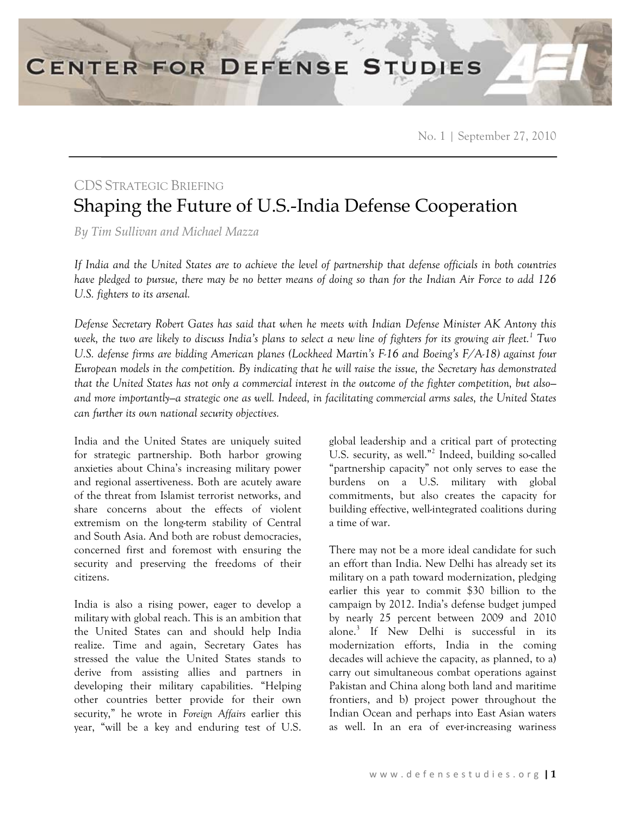No. 1 | September 27, 2010

## CDS STRATEGIC BRIEFING Shaping the Future of U.S.-India Defense Cooperation

*By Tim Sullivan and Michael Mazza*

*If India and the United States are to achieve the level of partnership that defense officials in both countries have pledged to pursue, there may be no better means of doing so than for the Indian Air Force to add 126 U.S. fighters to its arsenal.* 

*Defense Secretary Robert Gates has said that when he meets with Indian Defense Minister AK Antony this*  week, the two are likely to discuss India's plans to select a new line of fighters for its growing air fleet.<sup>1</sup> Two *U.S. defense firms are bidding American planes (Lockheed Martin's F-16 and Boeing's F/A-18) against four European models in the competition. By indicating that he will raise the issue, the Secretary has demonstrated that the United States has not only a commercial interest in the outcome of the fighter competition, but also and more importantly—a strategic one as well. Indeed, in facilitating commercial arms sales, the United States can further its own national security objectives.* 

India and the United States are uniquely suited for strategic partnership. Both harbor growing anxieties about China's increasing military power and regional assertiveness. Both are acutely aware of the threat from Islamist terrorist networks, and share concerns about the effects of violent extremism on the long-term stability of Central and South Asia. And both are robust democracies, concerned first and foremost with ensuring the security and preserving the freedoms of their citizens.

India is also a rising power, eager to develop a military with global reach. This is an ambition that the United States can and should help India realize. Time and again, Secretary Gates has stressed the value the United States stands to derive from assisting allies and partners in developing their military capabilities. "Helping other countries better provide for their own security," he wrote in *Foreign Affairs* earlier this year, "will be a key and enduring test of U.S.

global leadership and a critical part of protecting U.S. security, as well."<sup>2</sup> Indeed, building so-called "partnership capacity" not only serves to ease the burdens on a U.S. military with global commitments, but also creates the capacity for building effective, well-integrated coalitions during a time of war.

There may not be a more ideal candidate for such an effort than India. New Delhi has already set its military on a path toward modernization, pledging earlier this year to commit \$30 billion to the campaign by 2012. India's defense budget jumped by nearly 25 percent between 2009 and 2010 alone.3 If New Delhi is successful in its modernization efforts, India in the coming decades will achieve the capacity, as planned, to a) carry out simultaneous combat operations against Pakistan and China along both land and maritime frontiers, and b) project power throughout the Indian Ocean and perhaps into East Asian waters as well. In an era of ever-increasing wariness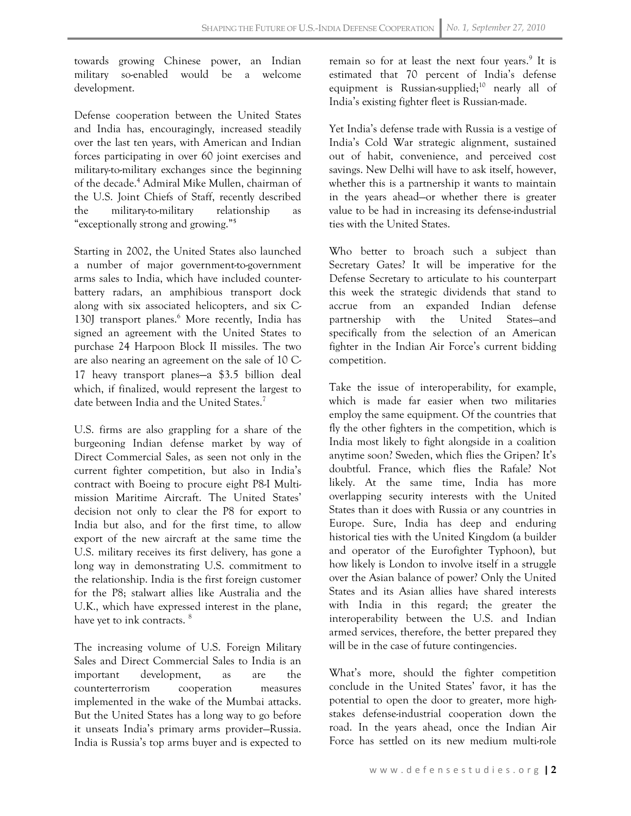towards growing Chinese power, an Indian military so-enabled would be a welcome development.

Defense cooperation between the United States and India has, encouragingly, increased steadily over the last ten years, with American and Indian forces participating in over 60 joint exercises and military-to-military exchanges since the beginning of the decade.<sup>4</sup> Admiral Mike Mullen, chairman of the U.S. Joint Chiefs of Staff, recently described the military-to-military relationship as "exceptionally strong and growing."**<sup>5</sup>**

Starting in 2002, the United States also launched a number of major government-to-government arms sales to India, which have included counterbattery radars, an amphibious transport dock along with six associated helicopters, and six C-130J transport planes.<sup>6</sup> More recently, India has signed an agreement with the United States to purchase 24 Harpoon Block II missiles. The two are also nearing an agreement on the sale of 10 C-17 heavy transport planes—a \$3.5 billion deal which, if finalized, would represent the largest to date between India and the United States.<sup>7</sup>

U.S. firms are also grappling for a share of the burgeoning Indian defense market by way of Direct Commercial Sales, as seen not only in the current fighter competition, but also in India's contract with Boeing to procure eight P8-I Multimission Maritime Aircraft. The United States' decision not only to clear the P8 for export to India but also, and for the first time, to allow export of the new aircraft at the same time the U.S. military receives its first delivery, has gone a long way in demonstrating U.S. commitment to the relationship. India is the first foreign customer for the P8; stalwart allies like Australia and the U.K., which have expressed interest in the plane, have yet to ink contracts.<sup>8</sup>

The increasing volume of U.S. Foreign Military Sales and Direct Commercial Sales to India is an important development, as are the counterterrorism cooperation measures implemented in the wake of the Mumbai attacks. But the United States has a long way to go before it unseats India's primary arms provider—Russia. India is Russia's top arms buyer and is expected to

remain so for at least the next four years.<sup>9</sup> It is estimated that 70 percent of India's defense equipment is Russian-supplied;<sup>10</sup> nearly all of India's existing fighter fleet is Russian-made.

Yet India's defense trade with Russia is a vestige of India's Cold War strategic alignment, sustained out of habit, convenience, and perceived cost savings. New Delhi will have to ask itself, however, whether this is a partnership it wants to maintain in the years ahead—or whether there is greater value to be had in increasing its defense-industrial ties with the United States.

Who better to broach such a subject than Secretary Gates? It will be imperative for the Defense Secretary to articulate to his counterpart this week the strategic dividends that stand to accrue from an expanded Indian defense partnership with the United States—and specifically from the selection of an American fighter in the Indian Air Force's current bidding competition.

Take the issue of interoperability, for example, which is made far easier when two militaries employ the same equipment. Of the countries that fly the other fighters in the competition, which is India most likely to fight alongside in a coalition anytime soon? Sweden, which flies the Gripen? It's doubtful. France, which flies the Rafale? Not likely. At the same time, India has more overlapping security interests with the United States than it does with Russia or any countries in Europe. Sure, India has deep and enduring historical ties with the United Kingdom (a builder and operator of the Eurofighter Typhoon), but how likely is London to involve itself in a struggle over the Asian balance of power? Only the United States and its Asian allies have shared interests with India in this regard; the greater the interoperability between the U.S. and Indian armed services, therefore, the better prepared they will be in the case of future contingencies.

What's more, should the fighter competition conclude in the United States' favor, it has the potential to open the door to greater, more highstakes defense-industrial cooperation down the road. In the years ahead, once the Indian Air Force has settled on its new medium multi-role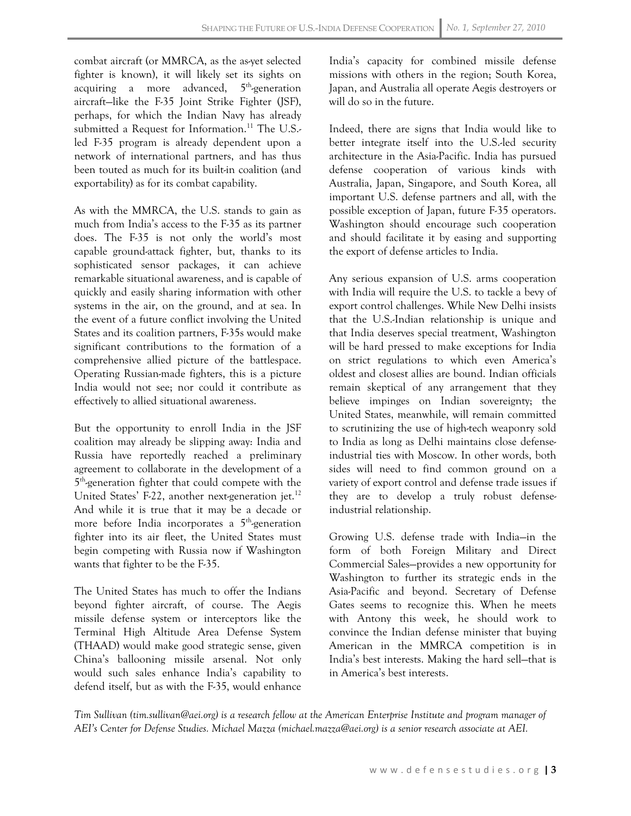combat aircraft (or MMRCA, as the as-yet selected fighter is known), it will likely set its sights on acquiring a more advanced,  $5<sup>th</sup>$ -generation aircraft—like the F-35 Joint Strike Fighter (JSF), perhaps, for which the Indian Navy has already submitted a Request for Information.<sup>11</sup> The U.S.led F-35 program is already dependent upon a network of international partners, and has thus been touted as much for its built-in coalition (and exportability) as for its combat capability.

As with the MMRCA, the U.S. stands to gain as much from India's access to the F-35 as its partner does. The F-35 is not only the world's most capable ground-attack fighter, but, thanks to its sophisticated sensor packages, it can achieve remarkable situational awareness, and is capable of quickly and easily sharing information with other systems in the air, on the ground, and at sea. In the event of a future conflict involving the United States and its coalition partners, F-35s would make significant contributions to the formation of a comprehensive allied picture of the battlespace. Operating Russian-made fighters, this is a picture India would not see; nor could it contribute as effectively to allied situational awareness.

But the opportunity to enroll India in the JSF coalition may already be slipping away: India and Russia have reportedly reached a preliminary agreement to collaborate in the development of a 5<sup>th</sup>-generation fighter that could compete with the United States' F-22, another next-generation jet.<sup>12</sup> And while it is true that it may be a decade or more before India incorporates a  $5<sup>th</sup>$ -generation fighter into its air fleet, the United States must begin competing with Russia now if Washington wants that fighter to be the F-35.

The United States has much to offer the Indians beyond fighter aircraft, of course. The Aegis missile defense system or interceptors like the Terminal High Altitude Area Defense System (THAAD) would make good strategic sense, given China's ballooning missile arsenal. Not only would such sales enhance India's capability to defend itself, but as with the F-35, would enhance India's capacity for combined missile defense missions with others in the region; South Korea, Japan, and Australia all operate Aegis destroyers or will do so in the future.

Indeed, there are signs that India would like to better integrate itself into the U.S.-led security architecture in the Asia-Pacific. India has pursued defense cooperation of various kinds with Australia, Japan, Singapore, and South Korea, all important U.S. defense partners and all, with the possible exception of Japan, future F-35 operators. Washington should encourage such cooperation and should facilitate it by easing and supporting the export of defense articles to India.

Any serious expansion of U.S. arms cooperation with India will require the U.S. to tackle a bevy of export control challenges. While New Delhi insists that the U.S.-Indian relationship is unique and that India deserves special treatment, Washington will be hard pressed to make exceptions for India on strict regulations to which even America's oldest and closest allies are bound. Indian officials remain skeptical of any arrangement that they believe impinges on Indian sovereignty; the United States, meanwhile, will remain committed to scrutinizing the use of high-tech weaponry sold to India as long as Delhi maintains close defenseindustrial ties with Moscow. In other words, both sides will need to find common ground on a variety of export control and defense trade issues if they are to develop a truly robust defenseindustrial relationship.

Growing U.S. defense trade with India—in the form of both Foreign Military and Direct Commercial Sales—provides a new opportunity for Washington to further its strategic ends in the Asia-Pacific and beyond. Secretary of Defense Gates seems to recognize this. When he meets with Antony this week, he should work to convince the Indian defense minister that buying American in the MMRCA competition is in India's best interests. Making the hard sell—that is in America's best interests.

*Tim Sullivan (tim.sullivan@aei.org) is a research fellow at the American Enterprise Institute and program manager of AEI's Center for Defense Studies. Michael Mazza (michael.mazza@aei.org) is a senior research associate at AEI.*